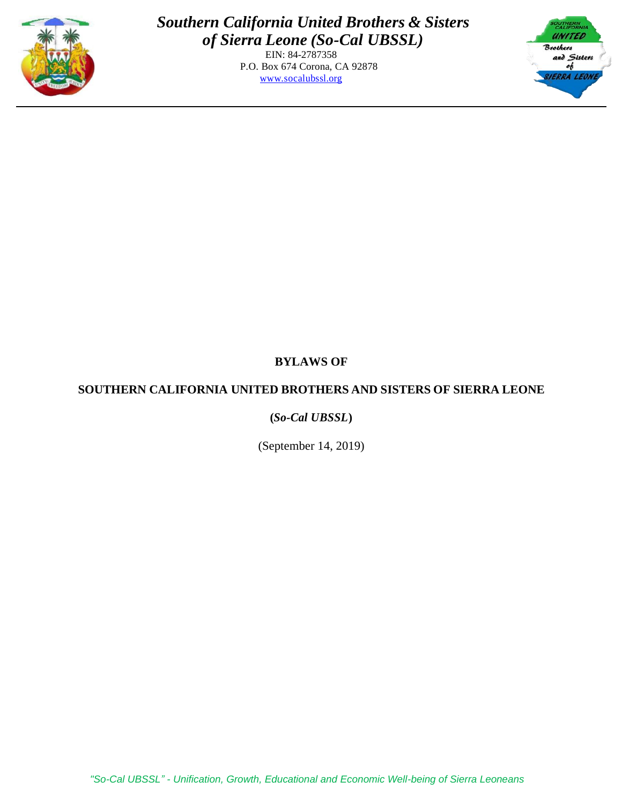

EIN: 84-2787358 P.O. Box 674 Corona, CA 92878 [www.socalubssl.org](http://www.socalubssl.org/)



# **BYLAWS OF**

# **SOUTHERN CALIFORNIA UNITED BROTHERS AND SISTERS OF SIERRA LEONE**

# **(***So-Cal UBSSL***)**

(September 14, 2019)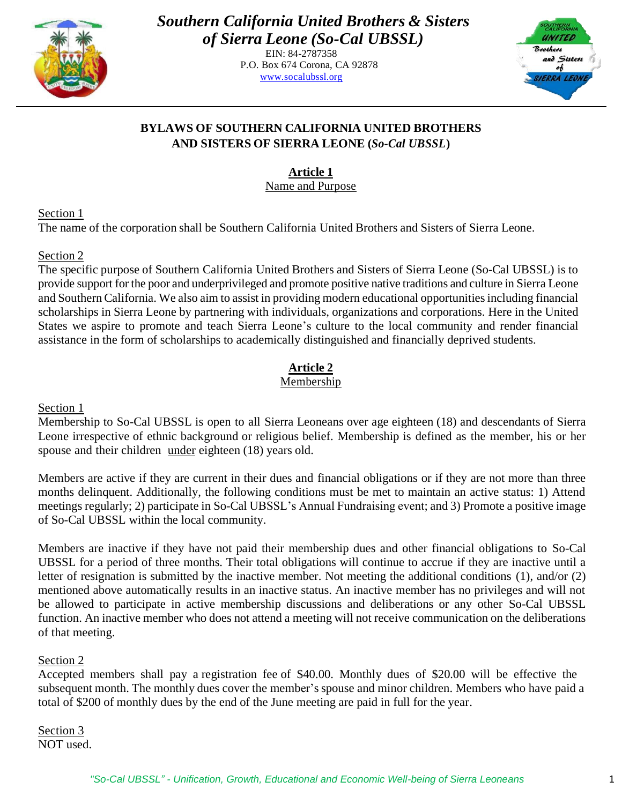

> EIN: 84-2787358 P.O. Box 674 Corona, CA 92878 [www.socalubssl.org](http://www.socalubssl.org/)



# **BYLAWS OF SOUTHERN CALIFORNIA UNITED BROTHERS AND SISTERS OF SIERRA LEONE (***So-Cal UBSSL***)**

**Article 1**

Name and Purpose

Section 1

The name of the corporation shall be Southern California United Brothers and Sisters of Sierra Leone.

# Section 2

The specific purpose of Southern California United Brothers and Sisters of Sierra Leone (So-Cal UBSSL) is to provide support for the poor and underprivileged and promote positive native traditions and culture in Sierra Leone and Southern California. We also aim to assist in providing modern educational opportunities including financial scholarships in Sierra Leone by partnering with individuals, organizations and corporations. Here in the United States we aspire to promote and teach Sierra Leone's culture to the local community and render financial assistance in the form of scholarships to academically distinguished and financially deprived students.

# **Article 2**

# Membership

Section 1

Membership to So-Cal UBSSL is open to all Sierra Leoneans over age eighteen (18) and descendants of Sierra Leone irrespective of ethnic background or religious belief. Membership is defined as the member, his or her spouse and their children under eighteen (18) years old.

Members are active if they are current in their dues and financial obligations or if they are not more than three months delinquent. Additionally, the following conditions must be met to maintain an active status: 1) Attend meetings regularly; 2) participate in So-Cal UBSSL's Annual Fundraising event; and 3) Promote a positive image of So-Cal UBSSL within the local community.

Members are inactive if they have not paid their membership dues and other financial obligations to So-Cal UBSSL for a period of three months. Their total obligations will continue to accrue if they are inactive until a letter of resignation is submitted by the inactive member. Not meeting the additional conditions (1), and/or (2) mentioned above automatically results in an inactive status. An inactive member has no privileges and will not be allowed to participate in active membership discussions and deliberations or any other So-Cal UBSSL function. An inactive member who does not attend a meeting will not receive communication on the deliberations of that meeting.

# Section 2

Accepted members shall pay a registration fee of \$40.00. Monthly dues of \$20.00 will be effective the subsequent month. The monthly dues cover the member'sspouse and minor children. Members who have paid a total of \$200 of monthly dues by the end of the June meeting are paid in full for the year.

Section 3 NOT used.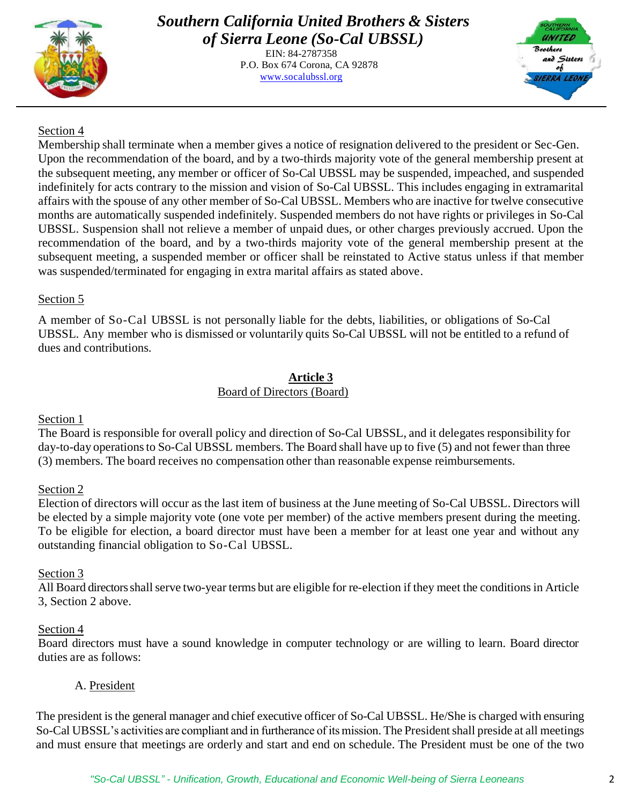

EIN: 84-2787358 P.O. Box 674 Corona, CA 92878 [www.socalubssl.org](http://www.socalubssl.org/)



# Section 4

Membership shall terminate when a member gives a notice of resignation delivered to the president or Sec-Gen. Upon the recommendation of the board, and by a two-thirds majority vote of the general membership present at the subsequent meeting, any member or officer of So-Cal UBSSL may be suspended, impeached, and suspended indefinitely for acts contrary to the mission and vision of So-Cal UBSSL. This includes engaging in extramarital affairs with the spouse of any other member of So-Cal UBSSL. Members who are inactive for twelve consecutive months are automatically suspended indefinitely. Suspended members do not have rights or privileges in So-Cal UBSSL. Suspension shall not relieve a member of unpaid dues, or other charges previously accrued. Upon the recommendation of the board, and by a two-thirds majority vote of the general membership present at the subsequent meeting, a suspended member or officer shall be reinstated to Active status unless if that member was suspended/terminated for engaging in extra marital affairs as stated above.

### Section 5

A member of So-Cal UBSSL is not personally liable for the debts, liabilities, or obligations of So-Cal UBSSL. Any member who is dismissed or voluntarily quits So-Cal UBSSL will not be entitled to a refund of dues and contributions.

# **Article 3**

### Board of Directors (Board)

#### Section 1

The Board is responsible for overall policy and direction of So-Cal UBSSL, and it delegates responsibility for day-to-day operations to So-Cal UBSSL members. The Board shall have up to five (5) and not fewer than three (3) members. The board receives no compensation other than reasonable expense reimbursements.

#### Section 2

Election of directors will occur as the last item of business at the June meeting of So-Cal UBSSL. Directors will be elected by a simple majority vote (one vote per member) of the active members present during the meeting. To be eligible for election, a board director must have been a member for at least one year and without any outstanding financial obligation to So-Cal UBSSL.

#### Section 3

All Board directors shall serve two-year terms but are eligible for re-election if they meet the conditions in Article 3, Section 2 above.

#### Section 4

Board directors must have a sound knowledge in computer technology or are willing to learn. Board director duties are as follows:

# A. President

The president isthe general manager and chief executive officer of So-Cal UBSSL. He/She is charged with ensuring So-Cal UBSSL's activities are compliant and in furtherance of its mission. The President shall preside at all meetings and must ensure that meetings are orderly and start and end on schedule. The President must be one of the two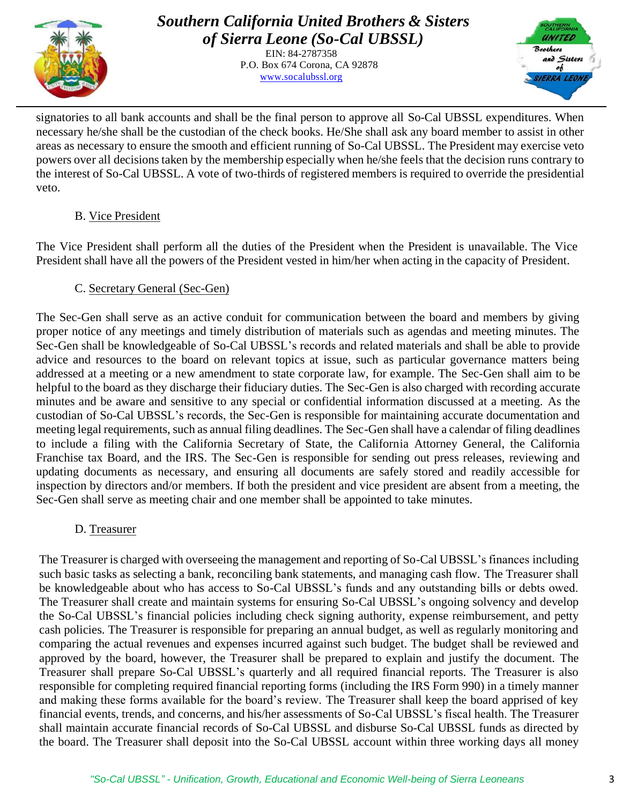

> EIN: 84-2787358 P.O. Box 674 Corona, CA 92878 [www.socalubssl.org](http://www.socalubssl.org/)



signatories to all bank accounts and shall be the final person to approve all So-Cal UBSSL expenditures. When necessary he/she shall be the custodian of the check books. He/She shall ask any board member to assist in other areas as necessary to ensure the smooth and efficient running of So-Cal UBSSL. The President may exercise veto powers over all decisionstaken by the membership especially when he/she feels that the decision runs contrary to the interest of So-Cal UBSSL. A vote of two-thirds of registered members is required to override the presidential veto.

### B. Vice President

The Vice President shall perform all the duties of the President when the President is unavailable. The Vice President shall have all the powers of the President vested in him/her when acting in the capacity of President.

# C. Secretary General (Sec-Gen)

The Sec-Gen shall serve as an active conduit for communication between the board and members by giving proper notice of any meetings and timely distribution of materials such as agendas and meeting minutes. The Sec-Gen shall be knowledgeable of So-Cal UBSSL's records and related materials and shall be able to provide advice and resources to the board on relevant topics at issue, such as particular governance matters being addressed at a meeting or a new amendment to state corporate law, for example. The Sec-Gen shall aim to be helpful to the board as they discharge their fiduciary duties. The Sec-Gen is also charged with recording accurate minutes and be aware and sensitive to any special or confidential information discussed at a meeting. As the custodian of So-Cal UBSSL's records, the Sec-Gen is responsible for maintaining accurate documentation and meeting legal requirements, such as annual filing deadlines. The Sec-Gen shall have a calendar of filing deadlines to include a filing with the California Secretary of State, the California Attorney General, the California Franchise tax Board, and the IRS. The Sec-Gen is responsible for sending out press releases, reviewing and updating documents as necessary, and ensuring all documents are safely stored and readily accessible for inspection by directors and/or members. If both the president and vice president are absent from a meeting, the Sec-Gen shall serve as meeting chair and one member shall be appointed to take minutes.

# D. Treasurer

The Treasurer is charged with overseeing the management and reporting of So-Cal UBSSL's finances including such basic tasks as selecting a bank, reconciling bank statements, and managing cash flow. The Treasurer shall be knowledgeable about who has access to So-Cal UBSSL's funds and any outstanding bills or debts owed. The Treasurer shall create and maintain systems for ensuring So-Cal UBSSL's ongoing solvency and develop the So-Cal UBSSL's financial policies including check signing authority, expense reimbursement, and petty cash policies. The Treasurer is responsible for preparing an annual budget, as well as regularly monitoring and comparing the actual revenues and expenses incurred against such budget. The budget shall be reviewed and approved by the board, however, the Treasurer shall be prepared to explain and justify the document. The Treasurer shall prepare So-Cal UBSSL's quarterly and all required financial reports. The Treasurer is also responsible for completing required financial reporting forms (including the IRS Form 990) in a timely manner and making these forms available for the board's review. The Treasurer shall keep the board apprised of key financial events, trends, and concerns, and his/her assessments of So-Cal UBSSL's fiscal health. The Treasurer shall maintain accurate financial records of So-Cal UBSSL and disburse So-Cal UBSSL funds as directed by the board. The Treasurer shall deposit into the So-Cal UBSSL account within three working days all money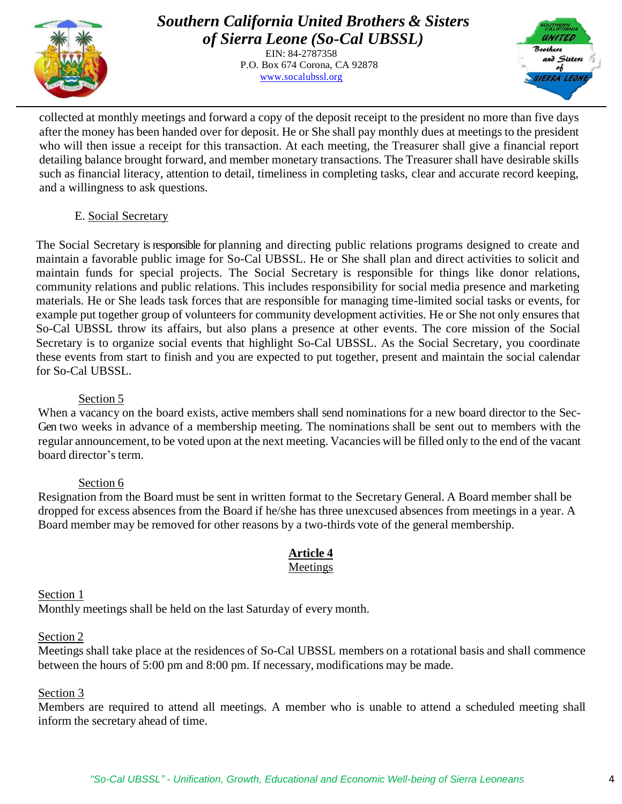

EIN: 84-2787358 P.O. Box 674 Corona, CA 92878 [www.socalubssl.org](http://www.socalubssl.org/)



collected at monthly meetings and forward a copy of the deposit receipt to the president no more than five days after the money has been handed over for deposit. He or She shall pay monthly dues at meetings to the president who will then issue a receipt for this transaction. At each meeting, the Treasurer shall give a financial report detailing balance brought forward, and member monetary transactions. The Treasurer shall have desirable skills such as financial literacy, attention to detail, timeliness in completing tasks, clear and accurate record keeping, and a willingness to ask questions.

#### E. Social Secretary

The Social Secretary is responsible for planning and directing public relations programs designed to create and maintain a favorable public image for So-Cal UBSSL. He or She shall plan and direct activities to solicit and maintain funds for special projects. The Social Secretary is responsible for things like donor relations, community relations and public relations. This includes responsibility for social media presence and marketing materials. He or She leads task forces that are responsible for managing time-limited social tasks or events, for example put together group of volunteers for community development activities. He or She not only ensures that So-Cal UBSSL throw its affairs, but also plans a presence at other events. The core mission of the Social Secretary is to organize social events that highlight So-Cal UBSSL. As the Social Secretary, you coordinate these events from start to finish and you are expected to put together, present and maintain the social calendar for So-Cal UBSSL.

#### Section 5

When a vacancy on the board exists, active members shall send nominations for a new board director to the Sec-Gen two weeks in advance of a membership meeting. The nominations shall be sent out to members with the regular announcement, to be voted upon at the next meeting. Vacancies will be filled only to the end of the vacant board director's term.

#### Section 6

Resignation from the Board must be sent in written format to the Secretary General. A Board member shall be dropped for excess absences from the Board if he/she has three unexcused absences from meetings in a year. A Board member may be removed for other reasons by a two-thirds vote of the general membership.

# **Article 4**

### Meetings

Section 1

Monthly meetings shall be held on the last Saturday of every month.

#### Section 2

Meetings shall take place at the residences of So-Cal UBSSL members on a rotational basis and shall commence between the hours of 5:00 pm and 8:00 pm. If necessary, modifications may be made.

#### Section 3

Members are required to attend all meetings. A member who is unable to attend a scheduled meeting shall inform the secretary ahead of time.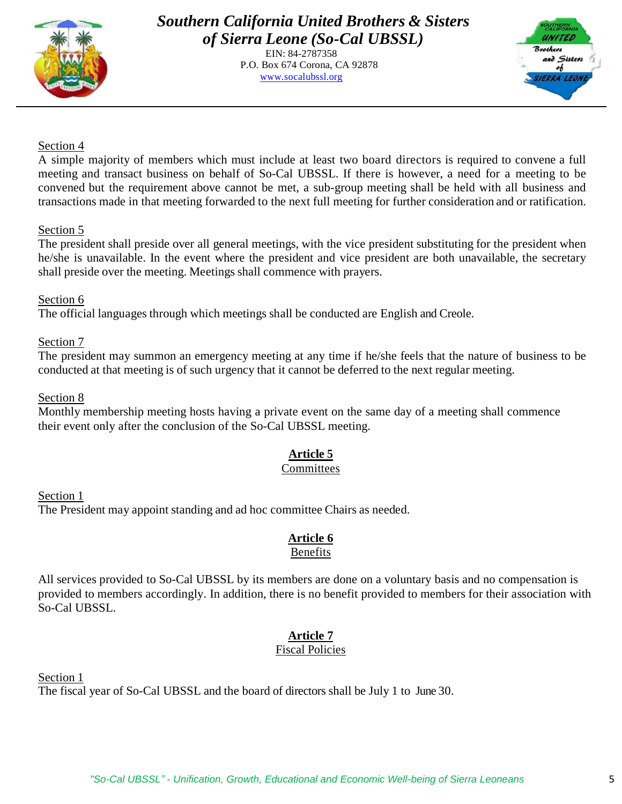

EIN: 84-2787358 P.O. Box 674 Corona, CA 92878 [www.socalubssl.org](http://www.socalubssl.org/)



#### Section 4

A simple majority of members which must include at least two board directors is required to convene a full meeting and transact business on behalf of So-Cal UBSSL. If there is however, a need for a meeting to be convened but the requirement above cannot be met, a sub-group meeting shall be held with all business and transactions made in that meeting forwarded to the next full meeting for further consideration and or ratification.

#### Section 5

The president shall preside over all general meetings, with the vice president substituting for the president when he/she is unavailable. In the event where the president and vice president are both unavailable, the secretary shall preside over the meeting. Meetings shall commence with prayers.

#### Section 6

The official languages through which meetings shall be conducted are English and Creole.

#### Section 7

The president may summon an emergency meeting at any time if he/she feels that the nature of business to be conducted at that meeting is of such urgency that it cannot be deferred to the next regular meeting.

#### Section 8

Monthly membership meeting hosts having a private event on the same day of a meeting shall commence their event only after the conclusion of the So-Cal UBSSL meeting.

# **Article 5**

#### **Committees**

Section 1 The President may appoint standing and ad hoc committee Chairs as needed.

# **Article 6**

#### Benefits

All services provided to So-Cal UBSSL by its members are done on a voluntary basis and no compensation is provided to members accordingly. In addition, there is no benefit provided to members for their association with So-Cal UBSSL.

# **Article 7**

# Fiscal Policies

Section 1

The fiscal year of So-Cal UBSSL and the board of directors shall be July 1 to June 30.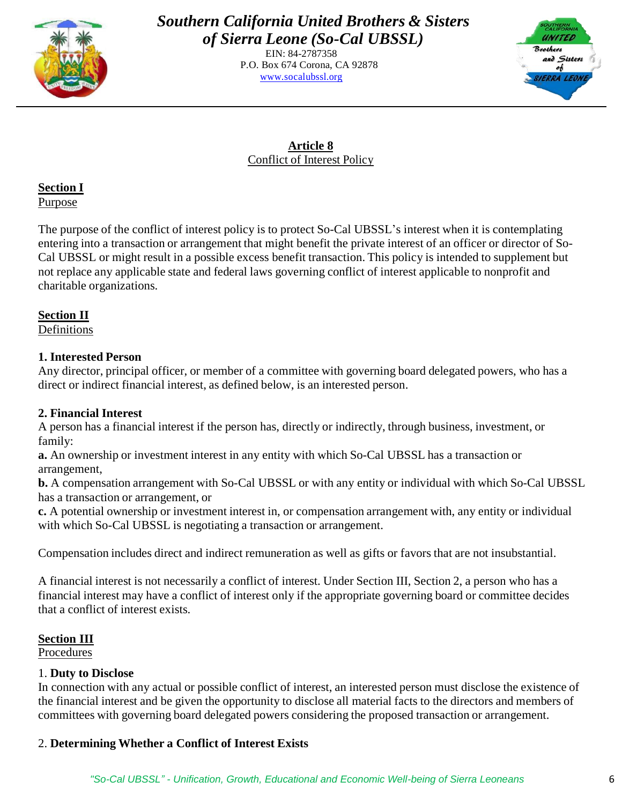

EIN: 84-2787358 P.O. Box 674 Corona, CA 92878 [www.socalubssl.org](http://www.socalubssl.org/)



# **Article 8** Conflict of Interest Policy

**Section I** Purpose

The purpose of the conflict of interest policy is to protect So-Cal UBSSL's interest when it is contemplating entering into a transaction or arrangement that might benefit the private interest of an officer or director of So-Cal UBSSL or might result in a possible excess benefit transaction. This policy is intended to supplement but not replace any applicable state and federal laws governing conflict of interest applicable to nonprofit and charitable organizations.

# **Section II**

Definitions

# **1. Interested Person**

Any director, principal officer, or member of a committee with governing board delegated powers, who has a direct or indirect financial interest, as defined below, is an interested person.

# **2. Financial Interest**

A person has a financial interest if the person has, directly or indirectly, through business, investment, or family:

**a.** An ownership or investment interest in any entity with which So-Cal UBSSL has a transaction or arrangement,

**b.** A compensation arrangement with So-Cal UBSSL or with any entity or individual with which So-Cal UBSSL has a transaction or arrangement, or

**c.** A potential ownership or investment interest in, or compensation arrangement with, any entity or individual with which So-Cal UBSSL is negotiating a transaction or arrangement.

Compensation includes direct and indirect remuneration as well as gifts or favors that are not insubstantial.

A financial interest is not necessarily a conflict of interest. Under Section III, Section 2, a person who has a financial interest may have a conflict of interest only if the appropriate governing board or committee decides that a conflict of interest exists.

# **Section III**

Procedures

# 1. **Duty to Disclose**

In connection with any actual or possible conflict of interest, an interested person must disclose the existence of the financial interest and be given the opportunity to disclose all material facts to the directors and members of committees with governing board delegated powers considering the proposed transaction or arrangement.

# 2. **Determining Whether a Conflict of Interest Exists**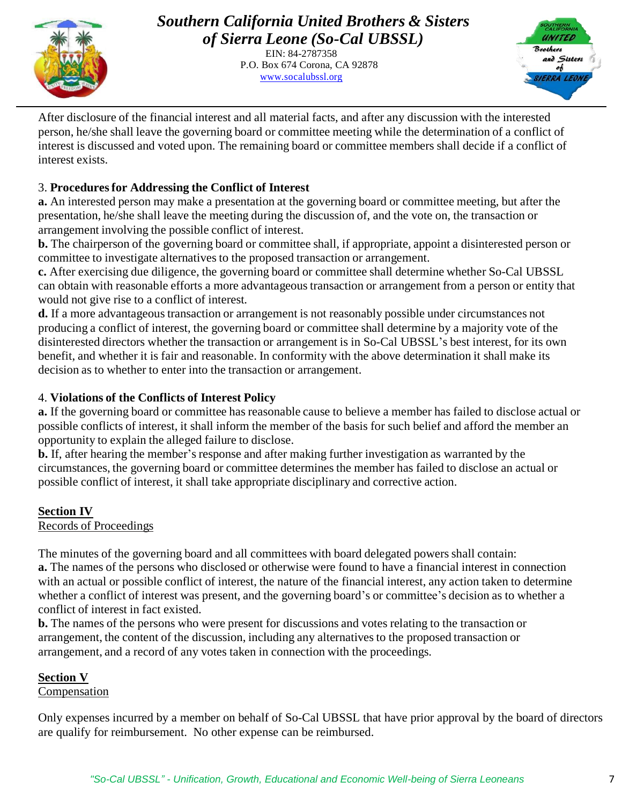

EIN: 84-2787358 P.O. Box 674 Corona, CA 92878 [www.socalubssl.org](http://www.socalubssl.org/)



After disclosure of the financial interest and all material facts, and after any discussion with the interested person, he/she shall leave the governing board or committee meeting while the determination of a conflict of interest is discussed and voted upon. The remaining board or committee members shall decide if a conflict of interest exists.

# 3. **Proceduresfor Addressing the Conflict of Interest**

**a.** An interested person may make a presentation at the governing board or committee meeting, but after the presentation, he/she shall leave the meeting during the discussion of, and the vote on, the transaction or arrangement involving the possible conflict of interest.

**b.** The chairperson of the governing board or committee shall, if appropriate, appoint a disinterested person or committee to investigate alternatives to the proposed transaction or arrangement.

**c.** After exercising due diligence, the governing board or committee shall determine whether So-Cal UBSSL can obtain with reasonable efforts a more advantageous transaction or arrangement from a person or entity that would not give rise to a conflict of interest.

**d.** If a more advantageous transaction or arrangement is not reasonably possible under circumstances not producing a conflict of interest, the governing board or committee shall determine by a majority vote of the disinterested directors whether the transaction or arrangement is in So-Cal UBSSL's best interest, for its own benefit, and whether it is fair and reasonable. In conformity with the above determination it shall make its decision as to whether to enter into the transaction or arrangement.

### 4. **Violations of the Conflicts of Interest Policy**

**a.** If the governing board or committee has reasonable cause to believe a member has failed to disclose actual or possible conflicts of interest, it shall inform the member of the basis for such belief and afford the member an opportunity to explain the alleged failure to disclose.

**b.** If, after hearing the member's response and after making further investigation as warranted by the circumstances, the governing board or committee determinesthe member has failed to disclose an actual or possible conflict of interest, it shall take appropriate disciplinary and corrective action.

# **Section IV**

#### Records of Proceedings

The minutes of the governing board and all committees with board delegated powers shall contain: **a.** The names of the persons who disclosed or otherwise were found to have a financial interest in connection with an actual or possible conflict of interest, the nature of the financial interest, any action taken to determine whether a conflict of interest was present, and the governing board's or committee's decision as to whether a conflict of interest in fact existed.

**b.** The names of the persons who were present for discussions and votes relating to the transaction or arrangement, the content of the discussion, including any alternatives to the proposed transaction or arrangement, and a record of any votes taken in connection with the proceedings.

# **Section V**

#### Compensation

Only expenses incurred by a member on behalf of So-Cal UBSSL that have prior approval by the board of directors are qualify for reimbursement. No other expense can be reimbursed.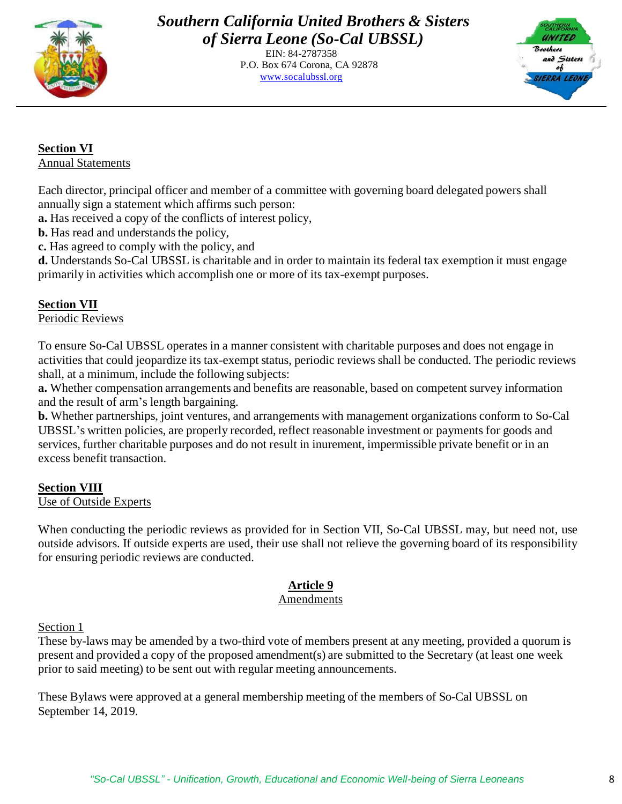

EIN: 84-2787358 P.O. Box 674 Corona, CA 92878 [www.socalubssl.org](http://www.socalubssl.org/)



**Section VI** Annual Statements

Each director, principal officer and member of a committee with governing board delegated powers shall annually sign a statement which affirms such person:

**a.** Has received a copy of the conflicts of interest policy,

**b.** Has read and understands the policy,

**c.** Has agreed to comply with the policy, and

**d.** Understands So-Cal UBSSL is charitable and in order to maintain its federal tax exemption it must engage primarily in activities which accomplish one or more of its tax-exempt purposes.

# **Section VII**

Periodic Reviews

To ensure So-Cal UBSSL operates in a manner consistent with charitable purposes and does not engage in activities that could jeopardize its tax-exempt status, periodic reviews shall be conducted. The periodic reviews shall, at a minimum, include the following subjects:

**a.** Whether compensation arrangements and benefits are reasonable, based on competent survey information and the result of arm's length bargaining.

**b.** Whether partnerships, joint ventures, and arrangements with management organizations conform to So-Cal UBSSL's written policies, are properly recorded, reflect reasonable investment or payments for goods and services, further charitable purposes and do not result in inurement, impermissible private benefit or in an excess benefit transaction.

#### **Section VIII** Use of Outside Experts

When conducting the periodic reviews as provided for in Section VII, So-Cal UBSSL may, but need not, use outside advisors. If outside experts are used, their use shall not relieve the governing board of its responsibility for ensuring periodic reviews are conducted.

# **Article 9**

#### Amendments

Section 1

These by-laws may be amended by a two-third vote of members present at any meeting, provided a quorum is present and provided a copy of the proposed amendment(s) are submitted to the Secretary (at least one week prior to said meeting) to be sent out with regular meeting announcements.

These Bylaws were approved at a general membership meeting of the members of So-Cal UBSSL on September 14, 2019.